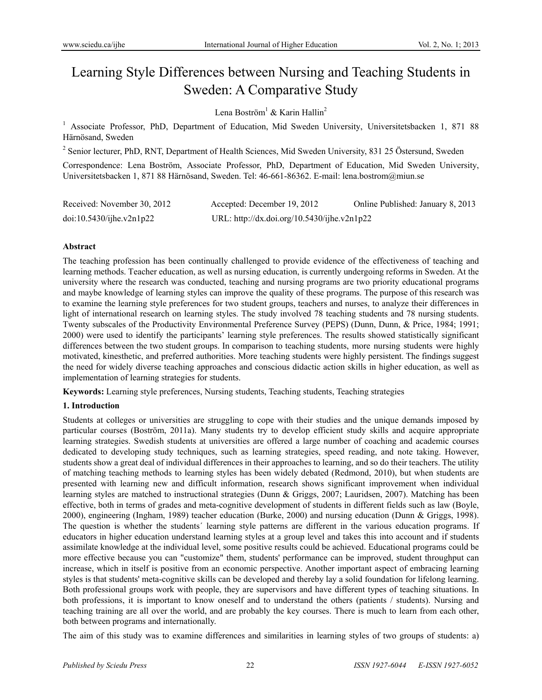# Learning Style Differences between Nursing and Teaching Students in Sweden: A Comparative Study

Lena Boström<sup>1</sup> & Karin Hallin<sup>2</sup>

<sup>1</sup> Associate Professor, PhD, Department of Education, Mid Sweden University, Universitetsbacken 1, 871 88 Härnösand, Sweden

<sup>2</sup> Senior lecturer, PhD, RNT, Department of Health Sciences, Mid Sweden University, 831 25 Östersund, Sweden

Correspondence: Lena Boström, Associate Professor, PhD, Department of Education, Mid Sweden University, Universitetsbacken 1, 871 88 Härnösand, Sweden. Tel: 46-661-86362. E-mail: lena.bostrom@miun.se

| Received: November 30, 2012 | Accepted: December 19, 2012                 | Online Published: January 8, 2013 |
|-----------------------------|---------------------------------------------|-----------------------------------|
| doi:10.5430/ijhe.v2n1p22    | URL: http://dx.doi.org/10.5430/ijhe.v2n1p22 |                                   |

### **Abstract**

The teaching profession has been continually challenged to provide evidence of the effectiveness of teaching and learning methods. Teacher education, as well as nursing education, is currently undergoing reforms in Sweden. At the university where the research was conducted, teaching and nursing programs are two priority educational programs and maybe knowledge of learning styles can improve the quality of these programs. The purpose of this research was to examine the learning style preferences for two student groups, teachers and nurses, to analyze their differences in light of international research on learning styles. The study involved 78 teaching students and 78 nursing students. Twenty subscales of the Productivity Environmental Preference Survey (PEPS) (Dunn, Dunn, & Price, 1984; 1991; 2000) were used to identify the participants' learning style preferences. The results showed statistically significant differences between the two student groups. In comparison to teaching students, more nursing students were highly motivated, kinesthetic, and preferred authorities. More teaching students were highly persistent. The findings suggest the need for widely diverse teaching approaches and conscious didactic action skills in higher education, as well as implementation of learning strategies for students.

**Keywords:** Learning style preferences, Nursing students, Teaching students, Teaching strategies

### **1. Introduction**

Students at colleges or universities are struggling to cope with their studies and the unique demands imposed by particular courses (Boström, 2011a). Many students try to develop efficient study skills and acquire appropriate learning strategies. Swedish students at universities are offered a large number of coaching and academic courses dedicated to developing study techniques, such as learning strategies, speed reading, and note taking. However, students show a great deal of individual differences in their approaches to learning, and so do their teachers. The utility of matching teaching methods to learning styles has been widely debated (Redmond, 2010), but when students are presented with learning new and difficult information, research shows significant improvement when individual learning styles are matched to instructional strategies (Dunn & Griggs, 2007; Lauridsen, 2007). Matching has been effective, both in terms of grades and meta-cognitive development of students in different fields such as law (Boyle, 2000), engineering (Ingham, 1989) teacher education (Burke, 2000) and nursing education (Dunn & Griggs, 1998). The question is whether the students´ learning style patterns are different in the various education programs. If educators in higher education understand learning styles at a group level and takes this into account and if students assimilate knowledge at the individual level, some positive results could be achieved. Educational programs could be more effective because you can "customize" them, students' performance can be improved, student throughput can increase, which in itself is positive from an economic perspective. Another important aspect of embracing learning styles is that students' meta-cognitive skills can be developed and thereby lay a solid foundation for lifelong learning. Both professional groups work with people, they are supervisors and have different types of teaching situations. In both professions, it is important to know oneself and to understand the others (patients / students). Nursing and teaching training are all over the world, and are probably the key courses. There is much to learn from each other, both between programs and internationally.

The aim of this study was to examine differences and similarities in learning styles of two groups of students: a)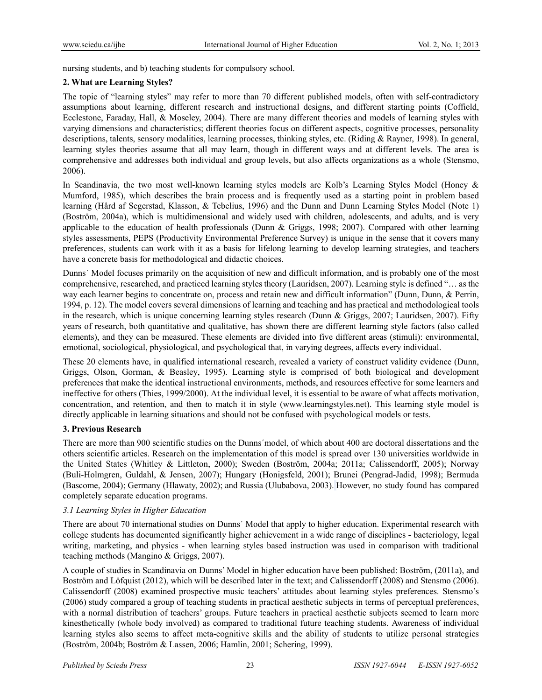nursing students, and b) teaching students for compulsory school.

## **2. What are Learning Styles?**

The topic of "learning styles" may refer to more than 70 different published models, often with self-contradictory assumptions about learning, different research and instructional designs, and different starting points (Coffield, Ecclestone, Faraday, Hall, & Moseley, 2004). There are many different theories and models of learning styles with varying dimensions and characteristics; different theories focus on different aspects, cognitive processes, personality descriptions, talents, sensory modalities, learning processes, thinking styles, etc. (Riding & Rayner, 1998). In general, learning styles theories assume that all may learn, though in different ways and at different levels. The area is comprehensive and addresses both individual and group levels, but also affects organizations as a whole (Stensmo, 2006).

In Scandinavia, the two most well-known learning styles models are Kolb's Learning Styles Model (Honey & Mumford, 1985), which describes the brain process and is frequently used as a starting point in problem based learning (Hård af Segerstad, Klasson, & Tebelius, 1996) and the Dunn and Dunn Learning Styles Model (Note 1) (Boström, 2004a), which is multidimensional and widely used with children, adolescents, and adults, and is very applicable to the education of health professionals (Dunn & Griggs, 1998; 2007). Compared with other learning styles assessments, PEPS (Productivity Environmental Preference Survey) is unique in the sense that it covers many preferences, students can work with it as a basis for lifelong learning to develop learning strategies, and teachers have a concrete basis for methodological and didactic choices.

Dunns´ Model focuses primarily on the acquisition of new and difficult information, and is probably one of the most comprehensive, researched, and practiced learning styles theory (Lauridsen, 2007). Learning style is defined "… as the way each learner begins to concentrate on, process and retain new and difficult information" (Dunn, Dunn, & Perrin, 1994, p. 12). The model covers several dimensions of learning and teaching and has practical and methodological tools in the research, which is unique concerning learning styles research (Dunn & Griggs, 2007; Lauridsen, 2007). Fifty years of research, both quantitative and qualitative, has shown there are different learning style factors (also called elements), and they can be measured. These elements are divided into five different areas (stimuli): environmental, emotional, sociological, physiological, and psychological that, in varying degrees, affects every individual.

These 20 elements have, in qualified international research, revealed a variety of construct validity evidence (Dunn, Griggs, Olson, Gorman, & Beasley, 1995). Learning style is comprised of both biological and development preferences that make the identical instructional environments, methods, and resources effective for some learners and ineffective for others (Thies, 1999/2000). At the individual level, it is essential to be aware of what affects motivation, concentration, and retention, and then to match it in style (www.learningstyles.net). This learning style model is directly applicable in learning situations and should not be confused with psychological models or tests.

### **3. Previous Research**

There are more than 900 scientific studies on the Dunns´model, of which about 400 are doctoral dissertations and the others scientific articles. Research on the implementation of this model is spread over 130 universities worldwide in the United States (Whitley & Littleton, 2000); Sweden (Boström, 2004a; 2011a; Calissendorff, 2005); Norway (Buli-Holmgren, Guldahl, & Jensen, 2007); Hungary (Honigsfeld, 2001); Brunei (Pengrad-Jadid, 1998); Bermuda (Bascome, 2004); Germany (Hlawaty, 2002); and Russia (Ulubabova, 2003). However, no study found has compared completely separate education programs.

### *3.1 Learning Styles in Higher Education*

There are about 70 international studies on Dunns´ Model that apply to higher education. Experimental research with college students has documented significantly higher achievement in a wide range of disciplines - bacteriology, legal writing, marketing, and physics - when learning styles based instruction was used in comparison with traditional teaching methods (Mangino & Griggs, 2007).

A couple of studies in Scandinavia on Dunns' Model in higher education have been published: Boström, (2011a), and Boström and Löfquist (2012), which will be described later in the text; and Calissendorff (2008) and Stensmo (2006). Calissendorff (2008) examined prospective music teachers' attitudes about learning styles preferences. Stensmo's (2006) study compared a group of teaching students in practical aesthetic subjects in terms of perceptual preferences, with a normal distribution of teachers' groups. Future teachers in practical aesthetic subjects seemed to learn more kinesthetically (whole body involved) as compared to traditional future teaching students. Awareness of individual learning styles also seems to affect meta-cognitive skills and the ability of students to utilize personal strategies (Boström, 2004b; Boström & Lassen, 2006; Hamlin, 2001; Schering, 1999).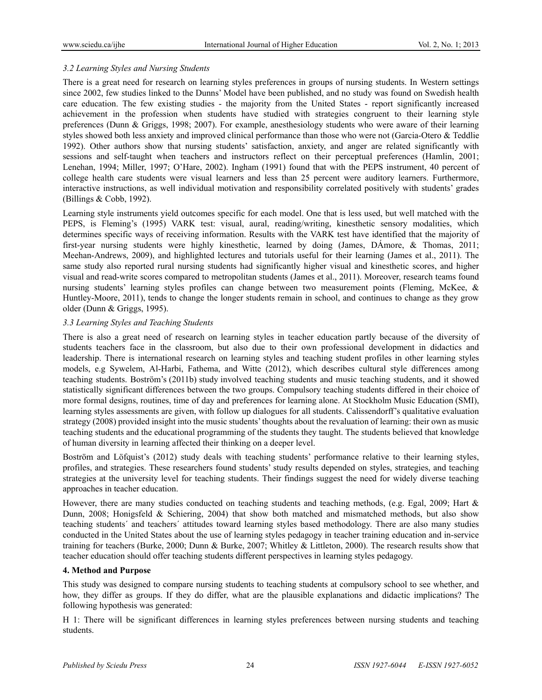## *3.2 Learning Styles and Nursing Students*

There is a great need for research on learning styles preferences in groups of nursing students. In Western settings since 2002, few studies linked to the Dunns' Model have been published, and no study was found on Swedish health care education. The few existing studies - the majority from the United States - report significantly increased achievement in the profession when students have studied with strategies congruent to their learning style preferences (Dunn & Griggs, 1998; 2007). For example, anesthesiology students who were aware of their learning styles showed both less anxiety and improved clinical performance than those who were not (Garcia-Otero & Teddlie 1992). Other authors show that nursing students' satisfaction, anxiety, and anger are related significantly with sessions and self-taught when teachers and instructors reflect on their perceptual preferences (Hamlin, 2001; Lenehan, 1994; Miller, 1997; O'Hare, 2002). Ingham (1991) found that with the PEPS instrument, 40 percent of college health care students were visual learners and less than 25 percent were auditory learners. Furthermore, interactive instructions, as well individual motivation and responsibility correlated positively with students' grades (Billings & Cobb, 1992).

Learning style instruments yield outcomes specific for each model. One that is less used, but well matched with the PEPS, is Fleming's (1995) VARK test: visual, aural, reading/writing, kinesthetic sensory modalities, which determines specific ways of receiving information. Results with the VARK test have identified that the majority of first-year nursing students were highly kinesthetic, learned by doing (James, DÁmore, & Thomas, 2011; Meehan-Andrews, 2009), and highlighted lectures and tutorials useful for their learning (James et al., 2011). The same study also reported rural nursing students had significantly higher visual and kinesthetic scores, and higher visual and read-write scores compared to metropolitan students (James et al., 2011). Moreover, research teams found nursing students' learning styles profiles can change between two measurement points (Fleming, McKee, & Huntley-Moore, 2011), tends to change the longer students remain in school, and continues to change as they grow older (Dunn & Griggs, 1995).

#### *3.3 Learning Styles and Teaching Students*

There is also a great need of research on learning styles in teacher education partly because of the diversity of students teachers face in the classroom, but also due to their own professional development in didactics and leadership. There is international research on learning styles and teaching student profiles in other learning styles models, e.g Sywelem, Al-Harbi, Fathema, and Witte (2012), which describes cultural style differences among teaching students. Boström's (2011b) study involved teaching students and music teaching students, and it showed statistically significant differences between the two groups. Compulsory teaching students differed in their choice of more formal designs, routines, time of day and preferences for learning alone. At Stockholm Music Education (SMI), learning styles assessments are given, with follow up dialogues for all students. Calissendorff's qualitative evaluation strategy (2008) provided insight into the music students' thoughts about the revaluation of learning: their own as music teaching students and the educational programming of the students they taught. The students believed that knowledge of human diversity in learning affected their thinking on a deeper level.

Boström and Löfquist's (2012) study deals with teaching students' performance relative to their learning styles, profiles, and strategies. These researchers found students' study results depended on styles, strategies, and teaching strategies at the university level for teaching students. Their findings suggest the need for widely diverse teaching approaches in teacher education.

However, there are many studies conducted on teaching students and teaching methods, (e.g. Egal, 2009; Hart & Dunn, 2008; Honigsfeld & Schiering, 2004) that show both matched and mismatched methods, but also show teaching students´ and teachers´ attitudes toward learning styles based methodology. There are also many studies conducted in the United States about the use of learning styles pedagogy in teacher training education and in-service training for teachers (Burke, 2000; Dunn & Burke, 2007; Whitley & Littleton, 2000). The research results show that teacher education should offer teaching students different perspectives in learning styles pedagogy.

### **4. Method and Purpose**

This study was designed to compare nursing students to teaching students at compulsory school to see whether, and how, they differ as groups. If they do differ, what are the plausible explanations and didactic implications? The following hypothesis was generated:

H 1: There will be significant differences in learning styles preferences between nursing students and teaching students.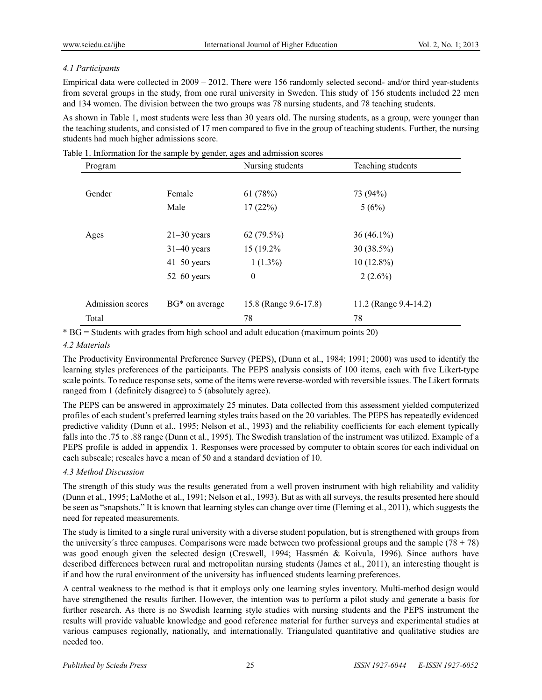## *4.1 Participants*

Empirical data were collected in 2009 – 2012. There were 156 randomly selected second- and/or third year-students from several groups in the study, from one rural university in Sweden. This study of 156 students included 22 men and 134 women. The division between the two groups was 78 nursing students, and 78 teaching students.

As shown in Table 1, most students were less than 30 years old. The nursing students, as a group, were younger than the teaching students, and consisted of 17 men compared to five in the group of teaching students. Further, the nursing students had much higher admissions score.

| Program          |                  | Nursing students      | Teaching students     |
|------------------|------------------|-----------------------|-----------------------|
|                  |                  |                       |                       |
| Gender           | Female           | 61(78%)               | 73 (94%)              |
|                  | Male             | 17(22%)               | 5(6%)                 |
| Ages             | $21-30$ years    | 62(79.5%)             | $36(46.1\%)$          |
|                  | $31-40$ years    | 15 (19.2%)            | $30(38.5\%)$          |
|                  | $41-50$ years    | $1(1.3\%)$            | $10(12.8\%)$          |
|                  | $52-60$ years    | $\theta$              | $2(2.6\%)$            |
| Admission scores | $BG*$ on average | 15.8 (Range 9.6-17.8) | 11.2 (Range 9.4-14.2) |
| Total            |                  | 78                    | 78                    |

Table 1. Information for the sample by gender, ages and admission scores

\* BG = Students with grades from high school and adult education (maximum points 20)

## *4.2 Materials*

The Productivity Environmental Preference Survey (PEPS), (Dunn et al., 1984; 1991; 2000) was used to identify the learning styles preferences of the participants. The PEPS analysis consists of 100 items, each with five Likert-type scale points. To reduce response sets, some of the items were reverse-worded with reversible issues. The Likert formats ranged from 1 (definitely disagree) to 5 (absolutely agree).

The PEPS can be answered in approximately 25 minutes. Data collected from this assessment yielded computerized profiles of each student's preferred learning styles traits based on the 20 variables. The PEPS has repeatedly evidenced predictive validity (Dunn et al., 1995; Nelson et al., 1993) and the reliability coefficients for each element typically falls into the .75 to .88 range (Dunn et al., 1995). The Swedish translation of the instrument was utilized. Example of a PEPS profile is added in appendix 1. Responses were processed by computer to obtain scores for each individual on each subscale; rescales have a mean of 50 and a standard deviation of 10.

### *4.3 Method Discussion*

The strength of this study was the results generated from a well proven instrument with high reliability and validity (Dunn et al., 1995; LaMothe et al., 1991; Nelson et al., 1993). But as with all surveys, the results presented here should be seen as "snapshots." It is known that learning styles can change over time (Fleming et al., 2011), which suggests the need for repeated measurements.

The study is limited to a single rural university with a diverse student population, but is strengthened with groups from the university's three campuses. Comparisons were made between two professional groups and the sample ( $78 + 78$ ) was good enough given the selected design (Creswell, 1994; Hassmén & Koivula, 1996)*.* Since authors have described differences between rural and metropolitan nursing students (James et al., 2011), an interesting thought is if and how the rural environment of the university has influenced students learning preferences.

A central weakness to the method is that it employs only one learning styles inventory. Multi-method design would have strengthened the results further. However, the intention was to perform a pilot study and generate a basis for further research. As there is no Swedish learning style studies with nursing students and the PEPS instrument the results will provide valuable knowledge and good reference material for further surveys and experimental studies at various campuses regionally, nationally, and internationally. Triangulated quantitative and qualitative studies are needed too.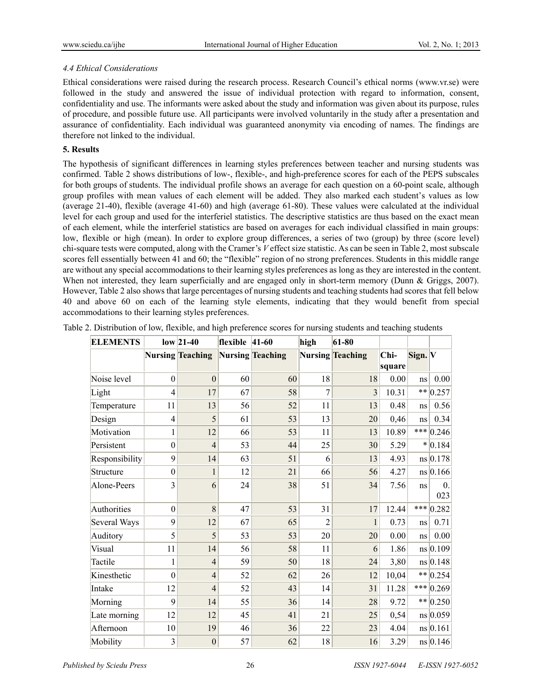### *4.4 Ethical Considerations*

Ethical considerations were raised during the research process. Research Council's ethical norms (www.vr.se) were followed in the study and answered the issue of individual protection with regard to information, consent, confidentiality and use. The informants were asked about the study and information was given about its purpose, rules of procedure, and possible future use. All participants were involved voluntarily in the study after a presentation and assurance of confidentiality. Each individual was guaranteed anonymity via encoding of names. The findings are therefore not linked to the individual.

### **5. Results**

The hypothesis of significant differences in learning styles preferences between teacher and nursing students was confirmed. Table 2 shows distributions of low-, flexible-, and high-preference scores for each of the PEPS subscales for both groups of students. The individual profile shows an average for each question on a 60-point scale, although group profiles with mean values of each element will be added. They also marked each student's values as low (average 21-40), flexible (average 41-60) and high (average 61-80). These values were calculated at the individual level for each group and used for the interferiel statistics. The descriptive statistics are thus based on the exact mean of each element, while the interferiel statistics are based on averages for each individual classified in main groups: low, flexible or high (mean). In order to explore group differences, a series of two (group) by three (score level) chi-square tests were computed, along with the Cramer's *V* effect size statistic. As can be seen in Table 2, most subscale scores fell essentially between 41 and 60; the "flexible" region of no strong preferences. Students in this middle range are without any special accommodations to their learning styles preferences as long as they are interested in the content. When not interested, they learn superficially and are engaged only in short-term memory (Dunn & Griggs, 2007). However, Table 2 also shows that large percentages of nursing students and teaching students had scores that fell below 40 and above 60 on each of the learning style elements, indicating that they would benefit from special accommodations to their learning styles preferences.

| <b>ELEMENTS</b> |                | $\log 21-40$                             | flexible | $ 41-60$ | high           | 61-80                   |                  |         |                   |
|-----------------|----------------|------------------------------------------|----------|----------|----------------|-------------------------|------------------|---------|-------------------|
|                 |                | <b>Nursing Teaching Nursing Teaching</b> |          |          |                | <b>Nursing Teaching</b> | $Chi-$<br>square | Sign. V |                   |
| Noise level     | $\theta$       | $\Omega$                                 | 60       | 60       | 18             | 18                      | 0.00             | ns      | 0.00              |
| Light           | 4              | 17                                       | 67       | 58       | 7              | 3                       | 10.31            |         | ** 0.257          |
| Temperature     | 11             | 13                                       | 56       | 52       | 11             | 13                      | 0.48             | ns      | 0.56              |
| Design          | $\overline{4}$ | 5                                        | 61       | 53       | 13             | 20                      | 0,46             | ns      | 0.34              |
| Motivation      | 1              | 12                                       | 66       | 53       | 11             | 13                      | 10.89            | ***     | 0.246             |
| Persistent      | $\theta$       | $\overline{4}$                           | 53       | 44       | 25             | 30                      | 5.29             |         | $*$ 0.184         |
| Responsibility  | 9              | 14                                       | 63       | 51       | 6              | 13                      | 4.93             |         | $ns \mid 0.178$   |
| Structure       | $\theta$       | $\mathbf{1}$                             | 12       | 21       | 66             | 56                      | 4.27             |         | ns 0.166          |
| Alone-Peers     | 3              | 6                                        | 24       | 38       | 51             | 34                      | 7.56             | ns      | $\theta$ .<br>023 |
| Authorities     | $\mathbf{0}$   | 8                                        | 47       | 53       | 31             | 17                      | 12.44            |         | *** 0.282         |
| Several Ways    | 9              | 12                                       | 67       | 65       | $\overline{2}$ | $\mathbf{1}$            | 0.73             | ns      | 0.71              |
| Auditory        | 5              | 5                                        | 53       | 53       | 20             | 20                      | 0.00             | ns      | 0.00              |
| Visual          | 11             | 14                                       | 56       | 58       | 11             | 6                       | 1.86             |         | ns 0.109          |
| Tactile         | 1              | $\overline{4}$                           | 59       | 50       | 18             | 24                      | 3,80             |         | $ns \mid 0.148$   |
| Kinesthetic     | $\overline{0}$ | $\overline{4}$                           | 52       | 62       | 26             | 12                      | 10,04            |         | $*$ $ 0.254 $     |
| Intake          | 12             | $\overline{4}$                           | 52       | 43       | 14             | 31                      | 11.28            | ***     | 0.269             |
| Morning         | 9              | 14                                       | 55       | 36       | 14             | 28                      | 9.72             | $***$   | 0.250             |
| Late morning    | 12             | 12                                       | 45       | 41       | 21             | 25                      | 0,54             |         | $ns \mid 0.059$   |
| Afternoon       | 10             | 19                                       | 46       | 36       | 22             | 23                      | 4.04             |         | ns 0.161          |
| Mobility        | 3              | $\mathbf{0}$                             | 57       | 62       | 18             | 16                      | 3.29             |         | $ns \mid 0.146$   |

Table 2. Distribution of low, flexible, and high preference scores for nursing students and teaching students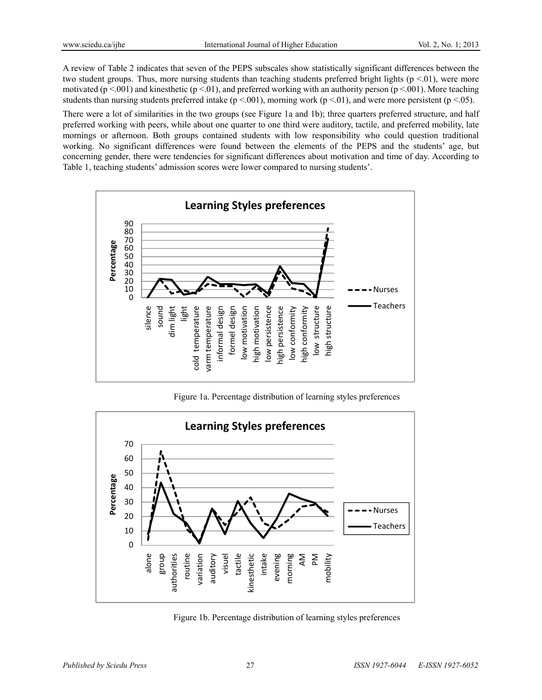A review of Table 2 indicates that seven of the PEPS subscales show statistically significant differences between the two student groups. Thus, more nursing students than teaching students preferred bright lights ( $p \le 01$ ), were more motivated ( $p < 001$ ) and kinesthetic ( $p < 01$ ), and preferred working with an authority person ( $p < 001$ ). More teaching students than nursing students preferred intake ( $p < .001$ ), morning work ( $p < .01$ ), and were more persistent ( $p < .05$ ).

There were a lot of similarities in the two groups (see Figure 1a and 1b); three quarters preferred structure, and half preferred working with peers, while about one quarter to one third were auditory, tactile, and preferred mobility, late mornings or afternoon. Both groups contained students with low responsibility who could question traditional working. No significant differences were found between the elements of the PEPS and the students' age, but concerning gender, there were tendencies for significant differences about motivation and time of day. According to Table 1, teaching students' admission scores were lower compared to nursing students'.



Figure 1a. Percentage distribution of learning styles preferences



Figure 1b. Percentage distribution of learning styles preferences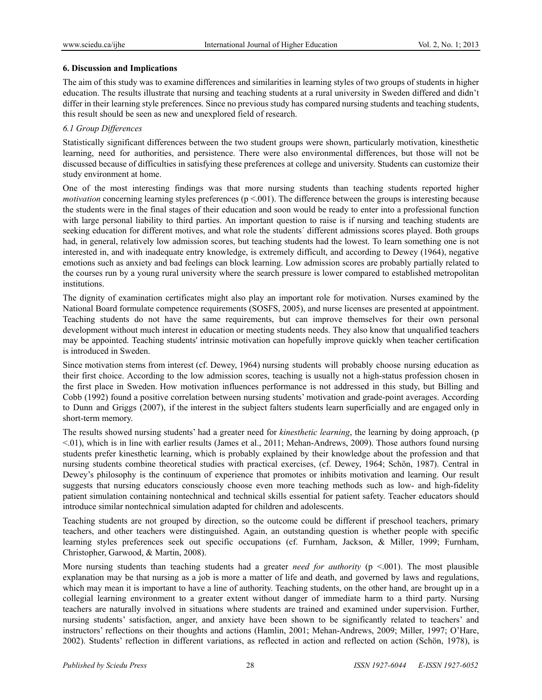## **6. Discussion and Implications**

The aim of this study was to examine differences and similarities in learning styles of two groups of students in higher education. The results illustrate that nursing and teaching students at a rural university in Sweden differed and didn't differ in their learning style preferences. Since no previous study has compared nursing students and teaching students, this result should be seen as new and unexplored field of research.

## *6.1 Group Differences*

Statistically significant differences between the two student groups were shown, particularly motivation, kinesthetic learning, need for authorities, and persistence. There were also environmental differences, but those will not be discussed because of difficulties in satisfying these preferences at college and university. Students can customize their study environment at home.

One of the most interesting findings was that more nursing students than teaching students reported higher *motivation* concerning learning styles preferences (p < 001). The difference between the groups is interesting because the students were in the final stages of their education and soon would be ready to enter into a professional function with large personal liability to third parties. An important question to raise is if nursing and teaching students are seeking education for different motives, and what role the students´ different admissions scores played. Both groups had, in general, relatively low admission scores, but teaching students had the lowest. To learn something one is not interested in, and with inadequate entry knowledge, is extremely difficult, and according to Dewey (1964), negative emotions such as anxiety and bad feelings can block learning. Low admission scores are probably partially related to the courses run by a young rural university where the search pressure is lower compared to established metropolitan institutions.

The dignity of examination certificates might also play an important role for motivation. Nurses examined by the National Board formulate competence requirements (SOSFS, 2005), and nurse licenses are presented at appointment. Teaching students do not have the same requirements, but can improve themselves for their own personal development without much interest in education or meeting students needs. They also know that unqualified teachers may be appointed. Teaching students' intrinsic motivation can hopefully improve quickly when teacher certification is introduced in Sweden.

Since motivation stems from interest (cf. Dewey, 1964) nursing students will probably choose nursing education as their first choice. According to the low admission scores, teaching is usually not a high-status profession chosen in the first place in Sweden. How motivation influences performance is not addressed in this study, but Billing and Cobb (1992) found a positive correlation between nursing students' motivation and grade-point averages. According to Dunn and Griggs (2007), if the interest in the subject falters students learn superficially and are engaged only in short-term memory.

The results showed nursing students' had a greater need for *kinesthetic learning*, the learning by doing approach, (p <.01), which is in line with earlier results (James et al., 2011; Mehan-Andrews, 2009). Those authors found nursing students prefer kinesthetic learning, which is probably explained by their knowledge about the profession and that nursing students combine theoretical studies with practical exercises, (cf. Dewey, 1964; Schön, 1987). Central in Dewey's philosophy is the continuum of experience that promotes or inhibits motivation and learning. Our result suggests that nursing educators consciously choose even more teaching methods such as low- and high-fidelity patient simulation containing nontechnical and technical skills essential for patient safety. Teacher educators should introduce similar nontechnical simulation adapted for children and adolescents.

Teaching students are not grouped by direction, so the outcome could be different if preschool teachers, primary teachers, and other teachers were distinguished. Again, an outstanding question is whether people with specific learning styles preferences seek out specific occupations (cf. Furnham, Jackson, & Miller, 1999; Furnham, Christopher, Garwood, & Martin, 2008).

More nursing students than teaching students had a greater *need for authority* ( $p \le 001$ ). The most plausible explanation may be that nursing as a job is more a matter of life and death, and governed by laws and regulations, which may mean it is important to have a line of authority. Teaching students, on the other hand, are brought up in a collegial learning environment to a greater extent without danger of immediate harm to a third party. Nursing teachers are naturally involved in situations where students are trained and examined under supervision. Further, nursing students' satisfaction, anger, and anxiety have been shown to be significantly related to teachers' and instructors' reflections on their thoughts and actions (Hamlin, 2001; Mehan-Andrews, 2009; Miller, 1997; O'Hare, 2002). Students' reflection in different variations, as reflected in action and reflected on action (Schön, 1978), is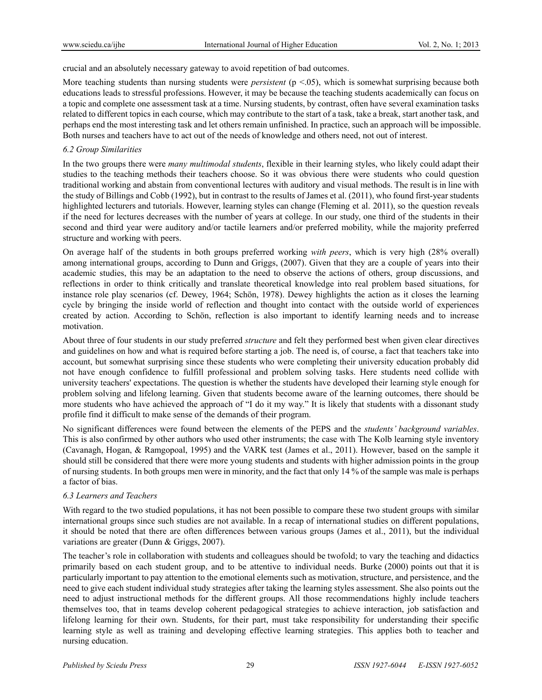crucial and an absolutely necessary gateway to avoid repetition of bad outcomes.

More teaching students than nursing students were *persistent* ( $p < .05$ ), which is somewhat surprising because both educations leads to stressful professions. However, it may be because the teaching students academically can focus on a topic and complete one assessment task at a time. Nursing students, by contrast, often have several examination tasks related to different topics in each course, which may contribute to the start of a task, take a break, start another task, and perhaps end the most interesting task and let others remain unfinished. In practice, such an approach will be impossible. Both nurses and teachers have to act out of the needs of knowledge and others need, not out of interest.

#### *6.2 Group Similarities*

In the two groups there were *many multimodal students*, flexible in their learning styles, who likely could adapt their studies to the teaching methods their teachers choose. So it was obvious there were students who could question traditional working and abstain from conventional lectures with auditory and visual methods. The result is in line with the study of Billings and Cobb (1992), but in contrast to the results of James et al. (2011), who found first-year students highlighted lecturers and tutorials. However, learning styles can change (Fleming et al. 2011), so the question reveals if the need for lectures decreases with the number of years at college. In our study, one third of the students in their second and third year were auditory and/or tactile learners and/or preferred mobility, while the majority preferred structure and working with peers.

On average half of the students in both groups preferred working *with peers*, which is very high (28% overall) among international groups, according to Dunn and Griggs, (2007). Given that they are a couple of years into their academic studies, this may be an adaptation to the need to observe the actions of others, group discussions, and reflections in order to think critically and translate theoretical knowledge into real problem based situations, for instance role play scenarios (cf. Dewey, 1964; Schön, 1978). Dewey highlights the action as it closes the learning cycle by bringing the inside world of reflection and thought into contact with the outside world of experiences created by action. According to Schön, reflection is also important to identify learning needs and to increase motivation.

About three of four students in our study preferred *structure* and felt they performed best when given clear directives and guidelines on how and what is required before starting a job. The need is, of course, a fact that teachers take into account, but somewhat surprising since these students who were completing their university education probably did not have enough confidence to fulfill professional and problem solving tasks. Here students need collide with university teachers' expectations. The question is whether the students have developed their learning style enough for problem solving and lifelong learning. Given that students become aware of the learning outcomes, there should be more students who have achieved the approach of "I do it my way." It is likely that students with a dissonant study profile find it difficult to make sense of the demands of their program.

No significant differences were found between the elements of the PEPS and the *students' background variables*. This is also confirmed by other authors who used other instruments; the case with The Kolb learning style inventory (Cavanagh, Hogan, & Ramgopoal, 1995) and the VARK test (James et al., 2011). However, based on the sample it should still be considered that there were more young students and students with higher admission points in the group of nursing students. In both groups men were in minority, and the fact that only 14 % of the sample was male is perhaps a factor of bias.

### *6.3 Learners and Teachers*

With regard to the two studied populations, it has not been possible to compare these two student groups with similar international groups since such studies are not available. In a recap of international studies on different populations, it should be noted that there are often differences between various groups (James et al., 2011), but the individual variations are greater (Dunn & Griggs, 2007).

The teacher's role in collaboration with students and colleagues should be twofold; to vary the teaching and didactics primarily based on each student group, and to be attentive to individual needs. Burke (2000) points out that it is particularly important to pay attention to the emotional elements such as motivation, structure, and persistence, and the need to give each student individual study strategies after taking the learning styles assessment. She also points out the need to adjust instructional methods for the different groups. All those recommendations highly include teachers themselves too, that in teams develop coherent pedagogical strategies to achieve interaction, job satisfaction and lifelong learning for their own. Students, for their part, must take responsibility for understanding their specific learning style as well as training and developing effective learning strategies. This applies both to teacher and nursing education.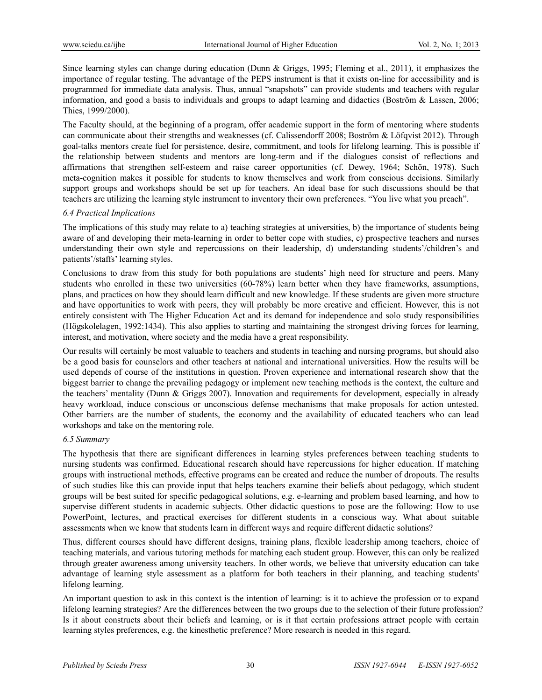Since learning styles can change during education (Dunn & Griggs, 1995; Fleming et al., 2011), it emphasizes the importance of regular testing. The advantage of the PEPS instrument is that it exists on-line for accessibility and is programmed for immediate data analysis. Thus, annual "snapshots" can provide students and teachers with regular information, and good a basis to individuals and groups to adapt learning and didactics (Boström & Lassen, 2006; Thies, 1999/2000).

The Faculty should, at the beginning of a program, offer academic support in the form of mentoring where students can communicate about their strengths and weaknesses (cf. Calissendorff 2008; Boström & Löfqvist 2012). Through goal-talks mentors create fuel for persistence, desire, commitment, and tools for lifelong learning. This is possible if the relationship between students and mentors are long-term and if the dialogues consist of reflections and affirmations that strengthen self-esteem and raise career opportunities (cf. Dewey, 1964; Schön, 1978). Such meta-cognition makes it possible for students to know themselves and work from conscious decisions. Similarly support groups and workshops should be set up for teachers. An ideal base for such discussions should be that teachers are utilizing the learning style instrument to inventory their own preferences. "You live what you preach".

#### *6.4 Practical Implications*

The implications of this study may relate to a) teaching strategies at universities, b) the importance of students being aware of and developing their meta-learning in order to better cope with studies, c) prospective teachers and nurses understanding their own style and repercussions on their leadership, d) understanding students'/children's and patients'/staffs' learning styles.

Conclusions to draw from this study for both populations are students' high need for structure and peers. Many students who enrolled in these two universities (60-78%) learn better when they have frameworks, assumptions, plans, and practices on how they should learn difficult and new knowledge. If these students are given more structure and have opportunities to work with peers, they will probably be more creative and efficient. However, this is not entirely consistent with The Higher Education Act and its demand for independence and solo study responsibilities (Högskolelagen, 1992:1434). This also applies to starting and maintaining the strongest driving forces for learning, interest, and motivation, where society and the media have a great responsibility.

Our results will certainly be most valuable to teachers and students in teaching and nursing programs, but should also be a good basis for counselors and other teachers at national and international universities. How the results will be used depends of course of the institutions in question. Proven experience and international research show that the biggest barrier to change the prevailing pedagogy or implement new teaching methods is the context, the culture and the teachers' mentality (Dunn & Griggs 2007). Innovation and requirements for development, especially in already heavy workload, induce conscious or unconscious defense mechanisms that make proposals for action untested. Other barriers are the number of students, the economy and the availability of educated teachers who can lead workshops and take on the mentoring role.

### *6.5 Summary*

The hypothesis that there are significant differences in learning styles preferences between teaching students to nursing students was confirmed. Educational research should have repercussions for higher education. If matching groups with instructional methods, effective programs can be created and reduce the number of dropouts. The results of such studies like this can provide input that helps teachers examine their beliefs about pedagogy, which student groups will be best suited for specific pedagogical solutions, e.g. e-learning and problem based learning, and how to supervise different students in academic subjects. Other didactic questions to pose are the following: How to use PowerPoint, lectures, and practical exercises for different students in a conscious way. What about suitable assessments when we know that students learn in different ways and require different didactic solutions?

Thus, different courses should have different designs, training plans, flexible leadership among teachers, choice of teaching materials, and various tutoring methods for matching each student group. However, this can only be realized through greater awareness among university teachers. In other words, we believe that university education can take advantage of learning style assessment as a platform for both teachers in their planning, and teaching students' lifelong learning.

An important question to ask in this context is the intention of learning: is it to achieve the profession or to expand lifelong learning strategies? Are the differences between the two groups due to the selection of their future profession? Is it about constructs about their beliefs and learning, or is it that certain professions attract people with certain learning styles preferences, e.g. the kinesthetic preference? More research is needed in this regard.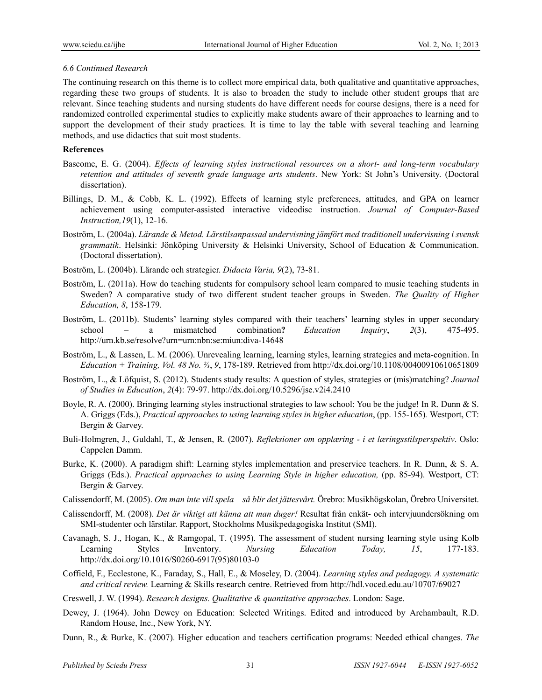#### *6.6 Continued Research*

The continuing research on this theme is to collect more empirical data, both qualitative and quantitative approaches, regarding these two groups of students. It is also to broaden the study to include other student groups that are relevant. Since teaching students and nursing students do have different needs for course designs, there is a need for randomized controlled experimental studies to explicitly make students aware of their approaches to learning and to support the development of their study practices. It is time to lay the table with several teaching and learning methods, and use didactics that suit most students.

#### **References**

- Bascome, E. G. (2004). *Effects of learning styles instructional resources on a short- and long-term vocabulary retention and attitudes of seventh grade language arts students*. New York: St John's University. (Doctoral dissertation).
- Billings, D. M., & Cobb, K. L. (1992). Effects of learning style preferences, attitudes, and GPA on learner achievement using computer-assisted interactive videodisc instruction. *Journal of Computer-Based Instruction,19*(1), 12-16.
- Boström, L. (2004a). *Lärande & Metod. Lärstilsanpassad undervisning jämfört med traditionell undervisning i svensk grammatik*. Helsinki: Jönköping University & Helsinki University, School of Education & Communication. (Doctoral dissertation).
- Boström, L. (2004b). Lärande och strategier. *Didacta Varia, 9*(2), 73-81.
- Boström, L. (2011a). How do teaching students for compulsory school learn compared to music teaching students in Sweden? A comparative study of two different student teacher groups in Sweden. *The Quality of Higher Education, 8*, 158-179.
- Boström, L. (2011b). Students' learning styles compared with their teachers' learning styles in upper secondary school – a mismatched combination**?** *Education Inquiry*, *2*(3), 475-495. http://urn.kb.se/resolve?urn=urn:nbn:se:miun:diva-14648
- Boström, L., & Lassen, L. M. (2006). Unrevealing learning, learning styles, learning strategies and meta-cognition. In *Education + Training, Vol. 48 No. ⅔*, *9*, 178-189. Retrieved from http://dx.doi.org/10.1108/00400910610651809
- Boström, L., & Löfquist, S. (2012). Students study results: A question of styles, strategies or (mis)matching? *Journal of Studies in Education*, *2*(4): 79-97. http://dx.doi.org/10.5296/jse.v2i4.2410
- Boyle, R. A. (2000). Bringing learning styles instructional strategies to law school: You be the judge! In R. Dunn & S. A. Griggs (Eds.), *Practical approaches to using learning styles in higher education*, (pp. 155-165)*.* Westport, CT: Bergin & Garvey.
- Buli-Holmgren, J., Guldahl, T., & Jensen, R. (2007). *Refleksioner om opplæring i et læringsstilsperspektiv*. Oslo: Cappelen Damm.
- Burke, K. (2000). A paradigm shift: Learning styles implementation and preservice teachers. In R. Dunn, & S. A. Griggs (Eds.). Practical approaches to using Learning Style in higher education, (pp. 85-94). Westport, CT: Bergin & Garvey.
- Calissendorff, M. (2005). *Om man inte vill spela så blir det jättesvårt.* Örebro: Musikhögskolan, Örebro Universitet.
- Calissendorff, M. (2008). *Det är viktigt att känna att man duger!* Resultat från enkät- och intervjuundersökning om SMI-studenter och lärstilar. Rapport, Stockholms Musikpedagogiska Institut (SMI).
- Cavanagh, S. J., Hogan, K., & Ramgopal, T. (1995). The assessment of student nursing learning style using Kolb Learning Styles Inventory. *Nursing Education Today, 15*, 177-183. http://dx.doi.org/10.1016/S0260-6917(95)80103-0
- Coffield, F., Ecclestone, K., Faraday, S., Hall, E., & Moseley, D. (2004). *Learning styles and pedagogy. A systematic and critical review.* Learning & Skills research centre. Retrieved from http://hdl.voced.edu.au/10707/69027
- Creswell, J. W. (1994). *Research designs. Qualitative & quantitative approaches*. London: Sage.
- Dewey, J. (1964). John Dewey on Education: Selected Writings. Edited and introduced by Archambault, R.D. Random House, Inc., New York, NY.
- Dunn, R., & Burke, K. (2007). Higher education and teachers certification programs: Needed ethical changes. *The*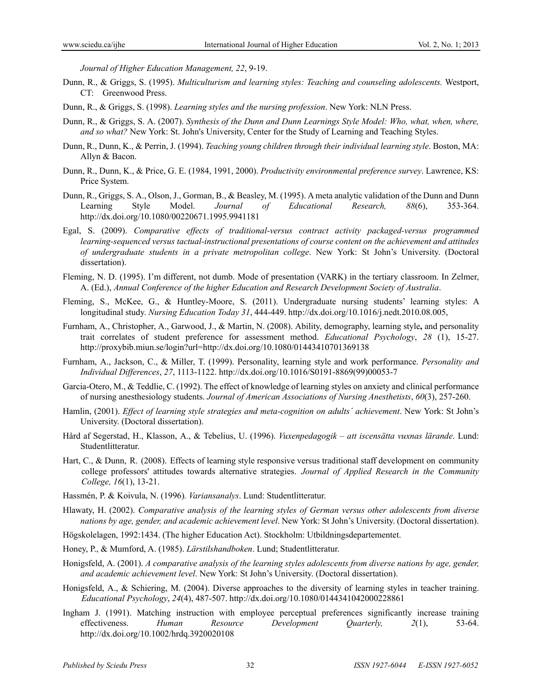*Journal of Higher Education Management, 22*, 9-19.

- Dunn, R., & Griggs, S. (1995). *Multiculturism and learning styles: Teaching and counseling adolescents.* Westport, CT: Greenwood Press.
- Dunn, R., & Griggs, S. (1998). *Learning styles and the nursing profession*. New York: NLN Press.
- Dunn, R., & Griggs, S. A. (2007). *Synthesis of the Dunn and Dunn Learnings Style Model: Who, what, when, where, and so what?* New York: St. John's University, Center for the Study of Learning and Teaching Styles.
- Dunn, R., Dunn, K., & Perrin, J. (1994). *Teaching young children through their individual learning style*. Boston, MA: Allyn & Bacon.
- Dunn, R., Dunn, K., & Price, G. E. (1984, 1991, 2000). *Productivity environmental preference survey*. Lawrence, KS: Price System.
- Dunn, R., Griggs, S. A., Olson, J., Gorman, B., & Beasley, M. (1995). A meta analytic validation of the Dunn and Dunn Learning Style Model. *Journal of Educational Research, 88*(6), 353-364. http://dx.doi.org/10.1080/00220671.1995.9941181
- Egal, S. (2009). *Comparative effects of traditional-versus contract activity packaged-versus programmed learning-sequenced versus tactual-instructional presentations of course content on the achievement and attitudes of undergraduate students in a private metropolitan college*. New York: St John's University. (Doctoral dissertation).
- Fleming, N. D. (1995). I'm different, not dumb. Mode of presentation (VARK) in the tertiary classroom. In Zelmer, A. (Ed.), *Annual Conference of the higher Education and Research Development Society of Australia*.
- Fleming, S., McKee, G., & Huntley-Moore, S. (2011). Undergraduate nursing students' learning styles: A longitudinal study. *Nursing Education Today 31*, 444-449. http://dx.doi.org/10.1016/j.nedt.2010.08.005,
- Furnham, A., Christopher, A., Garwood, J., & Martin, N. (2008). Ability, demography, learning style**,** and personality trait correlates of student preference for assessment method. *Educational Psychology*, *28* (1), 15-27. http://proxybib.miun.se/login?url=http://dx.doi.org/10.1080/01443410701369138
- Furnham, A., Jackson, C., & Miller, T. (1999). Personality, learning style and work performance. *Personality and Individual Differences*, *27*, 1113-1122. http://dx.doi.org/10.1016/S0191-8869(99)00053-7
- Garcia-Otero, M., & Teddlie, C. (1992). The effect of knowledge of learning styles on anxiety and clinical performance of nursing anesthesiology students. *Journal of American Associations of Nursing Anesthetists*, *60*(3), 257-260.
- Hamlin, (2001). *Effect of learning style strategies and meta-cognition on adults´ achievement*. New York: St John's University. (Doctoral dissertation).
- Hård af Segerstad, H., Klasson, A., & Tebelius, U. (1996). *Vuxenpedagogik att iscensätta vuxnas lärande*. Lund: Studentlitteratur.
- Hart, C., & Dunn, R. (2008). Effects of learning style responsive versus traditional staff development on community college professors' attitudes towards alternative strategies. *Journal of Applied Research in the Community College, 16*(1), 13-21.
- Hassmén, P. & Koivula, N. (1996)*. Variansanalys*. Lund: Studentlitteratur.
- Hlawaty, H. (2002). *Comparative analysis of the learning styles of German versus other adolescents from diverse nations by age, gender, and academic achievement level*. New York: St John's University. (Doctoral dissertation).
- Högskolelagen, 1992:1434. (The higher Education Act). Stockholm: Utbildningsdepartementet.
- Honey, P., & Mumford, A. (1985). *Lärstilshandboken*. Lund; Studentlitteratur.
- Honigsfeld, A. (2001). *A comparative analysis of the learning styles adolescents from diverse nations by age, gender, and academic achievement level*. New York: St John's University. (Doctoral dissertation).
- Honigsfeld, A., & Schiering, M. (2004). Diverse approaches to the diversity of learning styles in teacher training. *Educational Psychology*, *24*(4), 487-507. http://dx.doi.org/10.1080/0144341042000228861
- Ingham J. (1991). Matching instruction with employee perceptual preferences significantly increase training effectiveness. *Human Resource Development Quarterly, 2*(1), 53-64. http://dx.doi.org/10.1002/hrdq.3920020108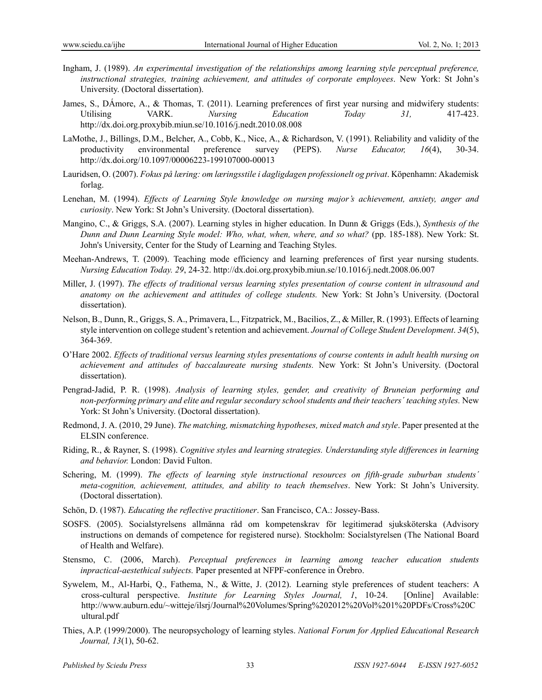- Ingham, J. (1989). *An experimental investigation of the relationships among learning style perceptual preference, instructional strategies, training achievement, and attitudes of corporate employees*. New York: St John's University. (Doctoral dissertation).
- James, S., DÁmore, A., & Thomas, T. (2011). Learning preferences of first year nursing and midwifery students: Utilising VARK. *Nursing Education Today 31,* 417-423. http://dx.doi.org.proxybib.miun.se/10.1016/j.nedt.2010.08.008
- LaMothe, J., Billings, D.M., Belcher, A., Cobb, K., Nice, A., & Richardson, V. (1991). Reliability and validity of the productivity environmental preference survey (PEPS). *Nurse Educator, 16*(4), 30-34. http://dx.doi.org/10.1097/00006223-199107000-00013
- Lauridsen, O. (2007). *Fokus på læring: om læringsstile i dagligdagen professionelt og privat*. Köpenhamn: Akademisk forlag.
- Lenehan, M. (1994). *Effects of Learning Style knowledge on nursing major's achievement, anxiety, anger and curiosity*. New York: St John's University. (Doctoral dissertation).
- Mangino, C., & Griggs, S.A. (2007). Learning styles in higher education. In Dunn & Griggs (Eds.), *Synthesis of the Dunn and Dunn Learning Style model: Who, what, when, where, and so what?* (pp. 185-188). New York: St. John's University, Center for the Study of Learning and Teaching Styles.
- Meehan-Andrews, T. (2009). Teaching mode efficiency and learning preferences of first year nursing students. *Nursing Education Today. 29*, 24-32. http://dx.doi.org.proxybib.miun.se/10.1016/j.nedt.2008.06.007
- Miller, J. (1997). *The effects of traditional versus learning styles presentation of course content in ultrasound and anatomy on the achievement and attitudes of college students.* New York: St John's University. (Doctoral dissertation).
- Nelson, B., Dunn, R., Griggs, S. A., Primavera, L., Fitzpatrick, M., Bacilios, Z., & Miller, R. (1993). Effects of learning style intervention on college student's retention and achievement. *Journal of College Student Development*. *34*(5), 364-369.
- O'Hare 2002. *Effects of traditional versus learning styles presentations of course contents in adult health nursing on achievement and attitudes of baccalaureate nursing students.* New York: St John's University. (Doctoral dissertation).
- Pengrad-Jadid, P. R. (1998). *Analysis of learning styles, gender, and creativity of Bruneian performing and non-performing primary and elite and regular secondary school students and their teachers´ teaching styles.* New York: St John's University. (Doctoral dissertation).
- Redmond, J. A. (2010, 29 June). *The matching, mismatching hypotheses, mixed match and style*. Paper presented at the ELSIN conference.
- Riding, R., & Rayner, S. (1998). *Cognitive styles and learning strategies. Understanding style differences in learning and behavior.* London: David Fulton.
- Schering, M. (1999). *The effects of learning style instructional resources on fifth-grade suburban students´ meta-cognition, achievement, attitudes, and ability to teach themselves*. New York: St John's University. (Doctoral dissertation).
- Schön, D. (1987). *Educating the reflective practitioner*. San Francisco, CA.: Jossey-Bass.
- SOSFS. (2005). Socialstyrelsens allmänna råd om kompetenskrav för legitimerad sjuksköterska (Advisory instructions on demands of competence for registered nurse). Stockholm: Socialstyrelsen (The National Board of Health and Welfare).
- Stensmo, C. (2006, March). *Perceptual preferences in learning among teacher education students inpractical-aestethical subjects.* Paper presented at NFPF-conference in Örebro.
- Sywelem, M., Al-Harbi, Q., Fathema, N., & Witte, J. (2012). Learning style preferences of student teachers: A cross-cultural perspective. *Institute for Learning Styles Journal, 1*, 10-24. [Online] Available: http://www.auburn.edu/~witteje/ilsrj/Journal%20Volumes/Spring%202012%20Vol%201%20PDFs/Cross%20C ultural.pdf
- Thies, A.P. (1999/2000). The neuropsychology of learning styles. *National Forum for Applied Educational Research Journal, 13*(1), 50-62.